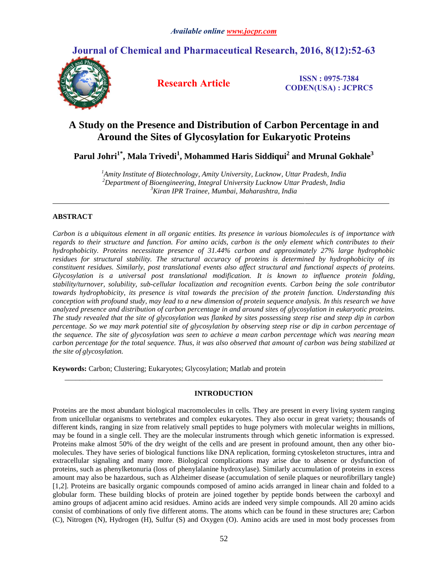**Journal of Chemical and Pharmaceutical Research, 2016, 8(12):52-63**



**Research Article ISSN : 0975-7384 CODEN(USA) : JCPRC5**

# **A Study on the Presence and Distribution of Carbon Percentage in and Around the Sites of Glycosylation for Eukaryotic Proteins**

**Parul Johri1\*, Mala Trivedi<sup>1</sup> , Mohammed Haris Siddiqui<sup>2</sup> and Mrunal Gokhale<sup>3</sup>**

*<sup>1</sup>Amity Institute of Biotechnology, Amity University, Lucknow, Uttar Pradesh, India <sup>2</sup>Department of Bioengineering, Integral University Lucknow Uttar Pradesh, India <sup>3</sup>Kiran IPR Trainee, Mumbai, Maharashtra, India*

# **ABSTRACT**

*Carbon is a ubiquitous element in all organic entities. Its presence in various biomolecules is of importance with regards to their structure and function. For amino acids, carbon is the only element which contributes to their hydrophobicity. Proteins necessitate presence of 31.44% carbon and approximately 27% large hydrophobic residues for structural stability. The structural accuracy of proteins is determined by hydrophobicity of its constituent residues. Similarly, post translational events also affect structural and functional aspects of proteins. Glycosylation is a universal post translational modification. It is known to influence protein folding, stability/turnover, solubility, sub-cellular localization and recognition events. Carbon being the sole contributor towards hydrophobicity, its presence is vital towards the precision of the protein function. Understanding this conception with profound study, may lead to a new dimension of protein sequence analysis. In this research we have analyzed presence and distribution of carbon percentage in and around sites of glycosylation in eukaryotic proteins. The study revealed that the site of glycosylation was flanked by sites possessing steep rise and steep dip in carbon percentage. So we may mark potential site of glycosylation by observing steep rise or dip in carbon percentage of the sequence. The site of glycosylation was seen to achieve a mean carbon percentage which was nearing mean carbon percentage for the total sequence. Thus, it was also observed that amount of carbon was being stabilized at the site of glycosylation.*

**Keywords:** Carbon; Clustering; Eukaryotes; Glycosylation; Matlab and protein

# **INTRODUCTION**

*\_\_\_\_\_\_\_\_\_\_\_\_\_\_\_\_\_\_\_\_\_\_\_\_\_\_\_\_\_\_\_\_\_\_\_\_\_\_\_\_\_\_\_\_\_\_\_\_\_\_\_\_\_\_\_\_\_\_\_\_\_\_\_\_\_\_\_\_\_\_\_\_\_\_\_\_\_\_\_\_\_\_\_\_\_\_\_*

Proteins are the most abundant biological macromolecules in cells. They are present in every living system ranging from unicellular organisms to vertebrates and complex eukaryotes. They also occur in great variety; thousands of different kinds, ranging in size from relatively small peptides to huge polymers with molecular weights in millions, may be found in a single cell. They are the molecular instruments through which genetic information is expressed. Proteins make almost 50% of the dry weight of the cells and are present in profound amount, then any other biomolecules. They have series of biological functions like DNA replication, forming cytoskeleton structures, intra and extracellular signaling and many more. Biological complications may arise due to absence or dysfunction of proteins, such as phenylketonuria (loss of phenylalanine hydroxylase). Similarly accumulation of proteins in excess amount may also be hazardous, such as Alzheimer disease (accumulation of senile plaques or neurofibrillary tangle) [1,2]. Proteins are basically organic compounds composed of amino acids arranged in linear chain and folded to a globular form. These building blocks of protein are joined together by peptide bonds between the carboxyl and amino groups of adjacent amino acid residues. Amino acids are indeed very simple compounds. All 20 amino acids consist of combinations of only five different atoms. The atoms which can be found in these structures are; Carbon (C), Nitrogen (N), Hydrogen (H), Sulfur (S) and Oxygen (O). Amino acids are used in most body processes from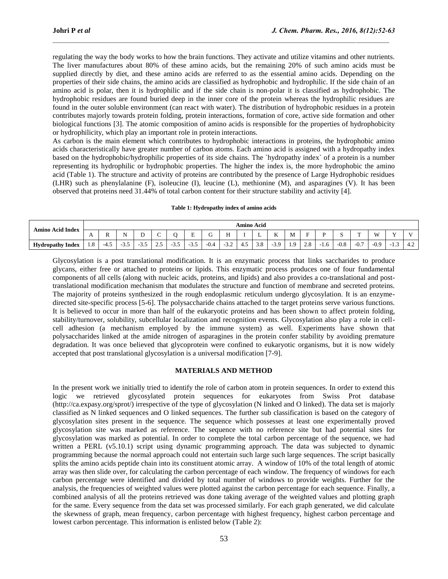regulating the way the body works to how the brain functions. They activate and utilize vitamins and other nutrients. The liver manufactures about 80% of these amino acids, but the remaining 20% of such amino acids must be supplied directly by diet, and these amino acids are referred to as the essential amino acids. Depending on the properties of their side chains, the amino acids are classified as hydrophobic and hydrophilic. If the side chain of an amino acid is polar, then it is hydrophilic and if the side chain is non-polar it is classified as hydrophobic. The hydrophobic residues are found buried deep in the inner core of the protein whereas the hydrophilic residues are found in the outer soluble environment (can react with water). The distribution of hydrophobic residues in a protein contributes majorly towards protein folding, protein interactions, formation of core, active side formation and other biological functions [3]. The atomic composition of amino acids is responsible for the properties of hydrophobicity or hydrophilicity, which play an important role in protein interactions.

 $\mathcal{L}_\mathcal{L} = \mathcal{L}_\mathcal{L}$ 

As carbon is the main element which contributes to hydrophobic interactions in proteins, the hydrophobic amino acids characteristically have greater number of carbon atoms. Each amino acid is assigned with a hydropathy index based on the hydrophobic/hydrophilic properties of its side chains. The `hydropathy index` of a protein is a number representing its hydrophilic or hydrophobic properties. The higher the index is, the more hydrophobic the amino acid (Table 1). The structure and activity of proteins are contributed by the presence of Large Hydrophobic residues (LHR) such as phenylalanine (F), isoleucine (I), leucine (L), methionine (M), and asparagines (V). It has been observed that proteins need 31.44% of total carbon content for their structure stability and activity [4].

## **Table 1: Hydropathy index of amino acids**

| Amino Acid Index        |                 | Amino Acid                   |                |     |    |     |        |                  |                               |     |     |              |                     |                      |      |                  |                       |        |                                                |               |
|-------------------------|-----------------|------------------------------|----------------|-----|----|-----|--------|------------------|-------------------------------|-----|-----|--------------|---------------------|----------------------|------|------------------|-----------------------|--------|------------------------------------------------|---------------|
|                         | $\Gamma$        | Ð<br>$\overline{\mathbf{r}}$ | N<br><b>TA</b> | ້   | ∽  |     | -      | ∽                | TT<br>                        |     | ∸   | $\sim$<br>T. | M                   |                      |      |                  | --                    | W      | $\mathbf{x}$                                   |               |
| <b>Hydropathy Index</b> | $\Omega$<br>1.0 | -4.                          | $-3.5$         | د.د | ر… | ∙ບ⊷ | $-5.5$ | $\Omega$<br>-0.4 | $\sim$ $\sim$<br>$-1$<br>ے. ب | 4.5 | 3.8 | $-3.9$       | $\Omega$<br>$\cdot$ | $\Omega$<br>$\sim$ 0 | ·1.6 | $\Omega$<br>-0.8 | $\sim$ $\sim$<br>-v., | $-0.9$ | $\sqrt{ }$<br>$\overline{\phantom{0}}$<br>د. 1 | $\sim$<br>4.2 |

Glycosylation is a post translational modification. It is an enzymatic process that links saccharides to produce glycans, either free or attached to proteins or lipids. This enzymatic process produces one of four fundamental components of all cells (along with nucleic acids, proteins, and lipids) and also provides a co-translational and posttranslational modification mechanism that modulates the structure and function of membrane and secreted proteins. The majority of proteins synthesized in the rough endoplasmic reticulum undergo glycosylation. It is an enzymedirected site-specific process [5-6]. The polysaccharide chains attached to the target proteins serve various functions. It is believed to occur in more than half of the eukaryotic proteins and has been shown to affect protein folding, stability/turnover, solubility, subcellular localization and recognition events. Glycosylation also play a role in cellcell adhesion (a mechanism employed by the immune system) as well. Experiments have shown that polysaccharides linked at the amide nitrogen of asparagines in the protein confer stability by avoiding premature degradation. It was once believed that glycoprotein were confined to eukaryotic organisms, but it is now widely accepted that post translational glycosylation is a universal modification [7-9].

## **MATERIALS AND METHOD**

In the present work we initially tried to identify the role of carbon atom in protein sequences. In order to extend this logic we retrieved glycosylated protein sequences for eukaryotes from Swiss Prot database [\(http://ca.expasy.org/sprot/\)](http://ca.expasy.org/sprot/)) irrespective of the type of glycosylation (N linked and O linked). The data set is majorly classified as N linked sequences and O linked sequences. The further sub classification is based on the category of glycosylation sites present in the sequence. The sequence which possesses at least one experimentally proved glycosylation site was marked as reference. The sequence with no reference site but had potential sites for glycosylation was marked as potential. In order to complete the total carbon percentage of the sequence, we had written a PERL (v5.10.1) script using dynamic programming approach. The data was subjected to dynamic programming because the normal approach could not entertain such large such large sequences. The script basically splits the amino acids peptide chain into its constituent atomic array. A window of 10% of the total length of atomic array was then slide over, for calculating the carbon percentage of each window. The frequency of windows for each carbon percentage were identified and divided by total number of windows to provide weights. Further for the analysis, the frequencies of weighted values were plotted against the carbon percentage for each sequence. Finally, a combined analysis of all the proteins retrieved was done taking average of the weighted values and plotting graph for the same. Every sequence from the data set was processed similarly. For each graph generated, we did calculate the skewness of graph, mean frequency, carbon percentage with highest frequency, highest carbon percentage and lowest carbon percentage. This information is enlisted below (Table 2):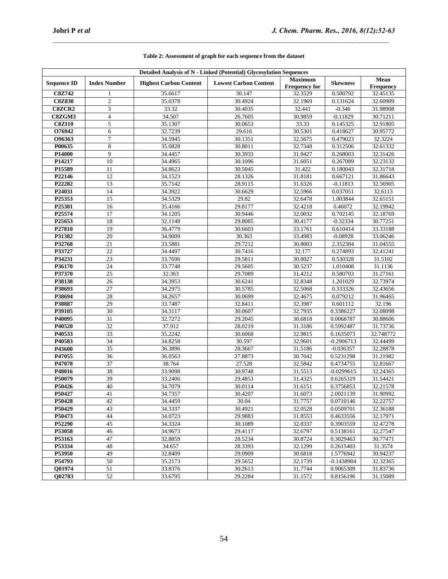| <b>Detailed Analysis of N - Linked (Potential) Glycosylation Sequences</b> |                     |                               |                              |                                        |                 |                          |  |  |
|----------------------------------------------------------------------------|---------------------|-------------------------------|------------------------------|----------------------------------------|-----------------|--------------------------|--|--|
| <b>Sequence ID</b>                                                         | <b>Index Number</b> | <b>Highest Carbon Content</b> | <b>Lowest Carbon Content</b> | <b>Maximum</b><br><b>Frequency for</b> | <b>Skewness</b> | Mean<br><b>Frequency</b> |  |  |
| <b>C8Z742</b>                                                              | 1                   | 35.6617                       | 30.147                       | 32.3529                                | 0.500792        | 32.45135                 |  |  |
| <b>C8Z830</b>                                                              | $\mathfrak{2}$      | 35.0378                       | 30.4924                      | 32.1969                                | 0.131624        | 32.60909                 |  |  |
| <b>C8ZCR2</b>                                                              | 3                   | 33.32                         | 30.4035                      | 32.441                                 | $-0.346$        | 31.98908                 |  |  |
| C8ZGM3                                                                     | 4                   | 34.507                        | 26.7605                      | 30.9859                                | $-0.11829$      | 30.71211                 |  |  |
| <b>C8ZI10</b>                                                              | 5                   | 35.1307                       | 30.0653                      | 33.33                                  | 0.145325        | 32.91805                 |  |  |
| O76942                                                                     | 6                   | 32.7239                       | 29.616                       | 30.5301                                | 0.418627        | 30.95772                 |  |  |
| O96363                                                                     | $\tau$              | 34.5945                       | 30.1351                      | 32.5675                                | 0.479023        | 32.3224                  |  |  |
| P00635                                                                     | 8                   | 35.0828                       | 30.8011                      | 32.7348                                | 0.312506        | 32.61332                 |  |  |
| P14000                                                                     | 9                   | 34.4457                       | 30.3933                      | 31.9427                                | 0.268003        | 32.31426                 |  |  |
| P14217                                                                     | 10                  | 34.4965                       | 30.1096                      | 31.6051                                | 0.267089        | 32.23132                 |  |  |
| P15589                                                                     | 11                  | 34.8623                       | 30.5045                      | 31.422                                 | 0.180043        | 32.31718                 |  |  |
| P22146                                                                     | 12                  | 34.1523                       | 28.1326                      | 31.8181                                | 0.667121        | 31.86643                 |  |  |
| P22282                                                                     | 13                  | 35.7142                       | 28.9115                      | 31.6326                                | $-0.11813$      | 32.56905                 |  |  |
| P24031                                                                     | 14                  | 34.3922                       | 30.6629                      | 32.5966                                | 0.037051        | 32.6113                  |  |  |
| P25353                                                                     | 15                  | 34.5329                       | 29.82                        | 32.6478                                | 1.003844        | 32.65151                 |  |  |
| P25381                                                                     | 16                  | 35.4166                       | 29.8177                      | 32.4218                                | 0.46072         | 32.19942                 |  |  |
| P25574                                                                     | 17                  | 34.1205                       | 30.9446                      | 32.0032                                | 0.702145        | 32.18769                 |  |  |
| P25653                                                                     | 18                  | 32.1148                       | 29.8085                      | 30.4177                                | $-0.32334$      | 30.77251                 |  |  |
| P27810                                                                     | 19                  | 36.4779                       | 30.6603                      | 33.1761                                | 0.610414        | 33.33188                 |  |  |
| P31382                                                                     | 20                  | 34.9009                       | 30.363                       | 33.4983                                | $-0.08928$      | 33.06246                 |  |  |
| P32768                                                                     | 21                  | 33.5881                       | 29.7212                      | 30.8003                                | 2.352384        | 31.04555                 |  |  |
| P33727                                                                     | $22\,$              | 34.4497                       | 30.7416                      | 32.177                                 | 0.274893        | 32.41241                 |  |  |
| P34231                                                                     | 23                  | 33.7696                       | 29.5811                      | 30.8027                                | 0.530328        | 31.5102                  |  |  |
| P36170                                                                     | 24                  | 33.7748                       | 29.5605                      | 30.5237                                | 1.010408        | 31.1136                  |  |  |
| P37370                                                                     | 25                  | 32.363                        | 29.7089                      | 31.4212                                | 0.580703        | 31.27161                 |  |  |
| P38138                                                                     | 26                  | 34.3953                       | 30.6241                      | 32.8348                                | 1.201029        | 32.73974                 |  |  |
| P38693                                                                     | $\overline{27}$     | 34.2975                       | 30.5785                      | 32.5068                                | 0.333326        | 32.43656                 |  |  |
| P38694                                                                     | 28                  | 34.2657                       | 30.0699                      | 32.4675                                | 0.079212        | 31.96465                 |  |  |
| P38887                                                                     | 29                  | 33.7487                       | 32.8411                      | 32.3987                                | 0.601112        | 32.196                   |  |  |
| P39105                                                                     | 30                  | 34.3117                       | 30.0607                      | 32.7935                                | 0.3386227       | 32.08098                 |  |  |
| P40095                                                                     | 31                  | 32.7272                       | 29.2045                      | 30.6818                                | 0.0068787       | 30.88606                 |  |  |
| P40520                                                                     | 32                  | 37.912                        | 28.0219                      | 31.3186                                | 0.5992487       | 31.73736                 |  |  |
| P40533                                                                     | 33                  | 35.2242                       | 30.6068                      | 32.9815                                | 0.1635073       | 32.748772                |  |  |
| P40583                                                                     | 34                  | 34.8258                       | 30.597                       | 32.9601                                | $-0.2906713$    | 32.44499                 |  |  |
| P43600                                                                     | 35                  | 36.3896                       | 28.3667                      | 31.5186                                | $-0.036357$     | 32.28878                 |  |  |
| P47055                                                                     | 36                  | 36.0563                       | 27.8873                      | 30.7042                                | 0.5231298       | 31.21982                 |  |  |
| P47078                                                                     | $\overline{37}$     | 38.764                        | 27.528                       | 32.5842                                | 0.4734755       | 32.81667                 |  |  |
| P48016                                                                     | 38                  | 33.9098                       | 30.9748                      | 31.5513                                | $-0.0299615$    | 32.24365                 |  |  |
| P50079                                                                     | $\overline{39}$     | 33.2406                       | 29.4853                      | 31.4325                                | 0.6265319       | 31.54421                 |  |  |
| P50426                                                                     | 40                  | 34.7079                       | 30.0114                      | 31.6151                                | 0.3756853       | 32.21578                 |  |  |
| P50427                                                                     | 41                  | 34.7357                       | 30.4207                      | 31.6073                                | 2.0021139       | 31.90992                 |  |  |
| P50428                                                                     | 42                  | 34.4459                       | 30.04                        | 31.7757                                | 0.0710146       | 32.22757                 |  |  |
| P50429                                                                     | 43                  | 34.3337                       | 30.4921                      | 32.0528                                | 0.0509701       | 32.36188                 |  |  |
| P50473                                                                     | 44                  | 34.0723                       | 29.9883                      | 31.8553                                | 0.4633556       | 32.17971                 |  |  |
| P52290                                                                     | 45                  | 34.3324                       | 30.1089                      | 32.8337                                | 0.3903559       | 32.47278                 |  |  |
| P53058                                                                     | 46                  | 34.9673                       | 29.4117                      | 32.6797                                | 0.5138161       | 32.27547                 |  |  |
| P53163                                                                     | 47                  | 32.8859                       | 28.5234                      | 30.8724                                | 0.3029463       | 30.77471                 |  |  |
| P53334                                                                     | 48                  | 34.657                        | 28.3393                      | 32.1299                                | 0.2615403       | 31.3574                  |  |  |
| P53950                                                                     | 49                  | 32.8409                       | 29.0909                      | 30.6818                                | 1.5776942       | 30.94237                 |  |  |
| P54793                                                                     | 50                  | 35.2173                       | 29.5652                      | 32.1739                                | $-0.1438904$    | 32.32365                 |  |  |
| Q01974                                                                     | 51                  | 33.8376                       | 30.2613                      | 31.7744                                | 0.9065309       | 31.83736                 |  |  |
| Q02783                                                                     | 52                  | 33.6795                       | 29.2284                      | 31.1572                                | 0.8156196       | 31.15089                 |  |  |

# **Table 2: Assessment of graph for each sequence from the dataset**

 $\mathcal{L}_\mathcal{L} = \mathcal{L}_\mathcal{L}$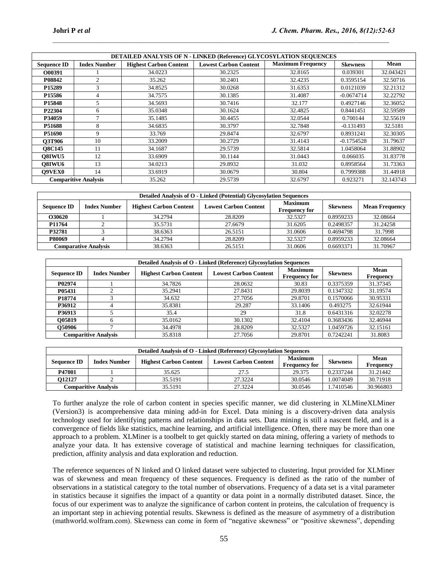|                             | <b>DETAILED ANALYSIS OF N - LINKED (Reference) GLYCOSYLATION SEQUENCES</b> |                               |                              |                          |                 |           |  |  |  |  |
|-----------------------------|----------------------------------------------------------------------------|-------------------------------|------------------------------|--------------------------|-----------------|-----------|--|--|--|--|
| <b>Sequence ID</b>          | <b>Index Number</b>                                                        | <b>Highest Carbon Content</b> | <b>Lowest Carbon Content</b> | <b>Maximum Frequency</b> | <b>Skewness</b> | Mean      |  |  |  |  |
| O00391                      |                                                                            | 34.0223                       | 30.2325                      | 32.8165                  | 0.039301        | 32.043421 |  |  |  |  |
| P08842                      | 2                                                                          | 35.262                        | 30.2401                      | 32.4235                  | 0.3595154       | 32.50716  |  |  |  |  |
| P <sub>15289</sub>          | 3                                                                          | 34.8525                       | 30.0268                      | 31.6353                  | 0.0121039       | 32.21312  |  |  |  |  |
| P <sub>15586</sub>          | 4                                                                          | 34.7575                       | 30.1385                      | 31.4087                  | $-0.0674714$    | 32.22792  |  |  |  |  |
| P <sub>15848</sub>          |                                                                            | 34.5693                       | 30.7416                      | 32.177                   | 0.4927146       | 32.36052  |  |  |  |  |
| P22304                      | 6                                                                          | 35.0348                       | 30.1624                      | 32.4825                  | 0.8441451       | 32.59589  |  |  |  |  |
| P34059                      |                                                                            | 35.1485                       | 30.4455                      | 32.0544                  | 0.700144        | 32.55619  |  |  |  |  |
| P51688                      | 8                                                                          | 34.6835                       | 30.3797                      | 32.7848                  | $-0.131493$     | 32.5181   |  |  |  |  |
| P51690                      | 9                                                                          | 33.769                        | 29.8474                      | 32.6797                  | 0.8931241       | 32.30305  |  |  |  |  |
| <b>O3T906</b>               | 10                                                                         | 33.2009                       | 30.2729                      | 31.4143                  | $-0.1754528$    | 31.79637  |  |  |  |  |
| <b>O8C145</b>               | 11                                                                         | 34.1687                       | 29.5739                      | 32.5814                  | 1.0458064       | 31.88902  |  |  |  |  |
| O8IWU5                      | 12                                                                         | 33.6909                       | 30.1144                      | 31.0443                  | 0.066035        | 31.83778  |  |  |  |  |
| O8IWU6                      | 13                                                                         | 34.0213                       | 29.8932                      | 31.032                   | 0.8958564       | 31.73363  |  |  |  |  |
| <b>O9VEX0</b>               | 14                                                                         | 33.6919                       | 30.0679                      | 30.804                   | 0.7999388       | 31.44918  |  |  |  |  |
| <b>Comparitive Analysis</b> |                                                                            | 35.262                        | 29.5739                      | 32.6797                  | 0.923271        | 32.143743 |  |  |  |  |

 $\mathcal{L}_\mathcal{L} = \mathcal{L}_\mathcal{L}$ 

| Detailed Analysis of O - Linked (Potential) Glycosylation Sequences |                     |                               |                              |                                        |                 |                       |  |  |  |
|---------------------------------------------------------------------|---------------------|-------------------------------|------------------------------|----------------------------------------|-----------------|-----------------------|--|--|--|
| <b>Sequence ID</b>                                                  | <b>Index Number</b> | <b>Highest Carbon Content</b> | <b>Lowest Carbon Content</b> | <b>Maximum</b><br><b>Frequency for</b> | <b>Skewness</b> | <b>Mean Frequency</b> |  |  |  |
| O30620                                                              |                     | 34.2794                       | 28.8209                      | 32.5327                                | 0.8959233       | 32.08664              |  |  |  |
| P11764                                                              |                     | 35.5731                       | 27.6679                      | 31.6205                                | 0.2498357       | 31.24258              |  |  |  |
| P32781                                                              |                     | 38.6363                       | 26.5151                      | 31.0606                                | 0.4694798       | 31.7998               |  |  |  |
| <b>P80069</b>                                                       |                     | 34.2794                       | 28.8209                      | 32.5327                                | 0.8959233       | 32.08664              |  |  |  |
| <b>Comparative Analysis</b>                                         |                     | 38.6363                       | 26.5151                      | 31.0606                                | 0.6693371       | 31.70967              |  |  |  |

| Detailed Analysis of O - Linked (Reference) Glycosylation Sequences |                             |                               |                              |                                        |                 |                          |  |  |  |
|---------------------------------------------------------------------|-----------------------------|-------------------------------|------------------------------|----------------------------------------|-----------------|--------------------------|--|--|--|
| <b>Sequence ID</b>                                                  | <b>Index Number</b>         | <b>Highest Carbon Content</b> | <b>Lowest Carbon Content</b> | <b>Maximum</b><br><b>Frequency for</b> | <b>Skewness</b> | Mean<br><b>Frequency</b> |  |  |  |
| P02974                                                              |                             | 34.7826                       | 28.0632                      | 30.83                                  | 0.3375359       | 31.37345                 |  |  |  |
| P05431                                                              |                             | 35.2941                       | 27.8431                      | 29.8039                                | 0.1347332       | 31.19574                 |  |  |  |
| P18774                                                              |                             | 34.632                        | 27.7056                      | 29.8701                                | 0.1570066       | 30.95331                 |  |  |  |
| P36912                                                              | 4                           | 35.8381                       | 29.287                       | 33.1406                                | 0.493275        | 32.61944                 |  |  |  |
| P36913                                                              |                             | 35.4                          | 29                           | 31.8                                   | 0.6431316       | 32.02278                 |  |  |  |
| O05819                                                              |                             | 35.0162                       | 30.1302                      | 32.4104                                | 0.3683436       | 32.46944                 |  |  |  |
| O50906                                                              |                             | 34.4978                       | 28.8209                      | 32.5327                                | 1.0459726       | 32.15161                 |  |  |  |
|                                                                     | <b>Comparitive Analysis</b> | 35.8318                       | 27.7056                      | 29.8701                                | 0.7242241       | 31.8083                  |  |  |  |

| <b>Detailed Analysis of O - Linked (Reference) Glycosylation Sequences</b> |                     |                               |                              |                                        |                 |                          |  |  |
|----------------------------------------------------------------------------|---------------------|-------------------------------|------------------------------|----------------------------------------|-----------------|--------------------------|--|--|
| <b>Sequence ID</b>                                                         | <b>Index Number</b> | <b>Highest Carbon Content</b> | <b>Lowest Carbon Content</b> | <b>Maximum</b><br><b>Frequency for</b> | <b>Skewness</b> | Mean<br><b>Frequency</b> |  |  |
| P47001                                                                     |                     | 35.625                        | 27.5                         | 29.375                                 | 0.2337244       | 31.21442                 |  |  |
| 012127                                                                     |                     | 35.5191                       | 27.3224                      | 30.0546                                | .0074049        | 30.71918                 |  |  |
| <b>Comparitive Analysis</b>                                                |                     | 35.5191                       | 27.3224                      | 30.0546                                | .7410546        | 30.966803                |  |  |

To further analyze the role of carbon content in species specific manner, we did clustering in XLMineXLMiner (Version3) is acomprehensive data mining add-in for Excel. Data mining is a discovery-driven data analysis technology used for identifying patterns and relationships in data sets. Data mining is still a nascent field, and is a convergence of fields like statistics, machine learning, and artificial intelligence. Often, there may be more than one approach to a problem. XLMiner is a toolbelt to get quickly started on data mining, offering a variety of methods to analyze your data. It has extensive coverage of statistical and machine learning techniques for classification, prediction, affinity analysis and data exploration and reduction.

The reference sequences of N linked and O linked dataset were subjected to clustering. Input provided for XLMiner was of skewness and mean frequency of these sequences. Frequency is defined as the ratio of the number of observations in a statistical category to the total number of observations. Frequency of a data set is a vital parameter in statistics because it signifies the impact of a quantity or data point in a normally distributed dataset. Since, the focus of our experiment was to analyze the significance of carbon content in proteins, the calculation of frequency is an important step in achieving potential results. Skewness is defined as the measure of asymmetry of a distribution (mathworld.wolfram.com). Skewness can come in form of "negative skewness" or "positive skewness", depending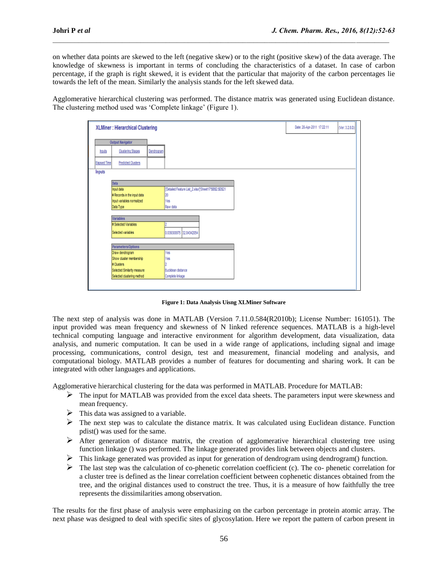on whether data points are skewed to the left (negative skew) or to the right (positive skew) of the data average. The knowledge of skewness is important in terms of concluding the characteristics of a dataset. In case of carbon percentage, if the graph is right skewed, it is evident that the particular that majority of the carbon percentages lie towards the left of the mean. Similarly the analysis stands for the left skewed data.

 $\mathcal{L}_\mathcal{L} = \mathcal{L}_\mathcal{L}$ 

Agglomerative hierarchical clustering was performed. The distance matrix was generated using Euclidean distance. The clustering method used was 'Complete linkage' (Figure 1).

|                     | XLMiner : Hierarchical Clustering |            |                                                       | Date: 20-Apr-2011 17:22:11 | (Ver. 3.2 8.0) |
|---------------------|-----------------------------------|------------|-------------------------------------------------------|----------------------------|----------------|
|                     | <b>Output Navigator</b>           |            |                                                       |                            |                |
| houts               | <b>Clustering Stages</b>          | Dendrogram |                                                       |                            |                |
| <b>Elapsed Time</b> | <b>Predicted Clusters</b>         |            |                                                       |                            |                |
| Inputs              |                                   |            |                                                       |                            |                |
|                     | Data                              |            |                                                       |                            |                |
|                     | hout data                         |            | [Detailed Feature List, 2 xlsx] Sheet17'58\$2:\$0\$21 |                            |                |
|                     | # Records in the input data       |            | lго                                                   |                            |                |
|                     | hout variables normalized         |            | Yes                                                   |                            |                |
|                     | Data Type                         |            | Raw data                                              |                            |                |
|                     | <b>Variables</b>                  |            |                                                       |                            |                |
|                     | # Selected Variables              |            |                                                       |                            |                |
|                     | Selected variables                |            | 0.039300975 32.04342054                               |                            |                |
|                     | Parameters/Options                |            |                                                       |                            |                |
|                     | Draw dendrogram                   |            | fes                                                   |                            |                |
|                     | Show cluster membership           |            | fes                                                   |                            |                |
|                     | # Clusters                        |            |                                                       |                            |                |
|                     | Selected Similarity measure       |            | Euclidean distance                                    |                            |                |
|                     | Selected clustering method        |            | Complete linkage                                      |                            |                |
|                     |                                   |            |                                                       |                            |                |

**Figure 1: Data Analysis Uisng XLMiner Software**

The next step of analysis was done in MATLAB (Version 7.11.0.584(R2010b); License Number: 161051). The input provided was mean frequency and skewness of N linked reference sequences. MATLAB is a high-level technical computing language and interactive environment for algorithm development, data visualization, data analysis, and numeric computation. It can be used in a wide range of applications, including signal and image processing, communications, control design, test and measurement, financial modeling and analysis, and computational biology. MATLAB provides a number of features for documenting and sharing work. It can be integrated with other languages and applications.

Agglomerative hierarchical clustering for the data was performed in MATLAB. Procedure for MATLAB:

- $\triangleright$  The input for MATLAB was provided from the excel data sheets. The parameters input were skewness and mean frequency.
- $\triangleright$  This data was assigned to a variable.
- The next step was to calculate the distance matrix. It was calculated using Euclidean distance. Function pdist() was used for the same.
- After generation of distance matrix, the creation of agglomerative hierarchical clustering tree using function linkage () was performed. The linkage generated provides link between objects and clusters.
- This linkage generated was provided as input for generation of dendrogram using dendrogram() function.
- $\triangleright$  The last step was the calculation of co-phenetic correlation coefficient (c). The co- phenetic correlation for a cluster tree is defined as the linear correlation coefficient between cophenetic distances obtained from the tree, and the original distances used to construct the tree. Thus, it is a measure of how faithfully the tree represents the dissimilarities among observation.

The results for the first phase of analysis were emphasizing on the carbon percentage in protein atomic array. The next phase was designed to deal with specific sites of glycosylation. Here we report the pattern of carbon present in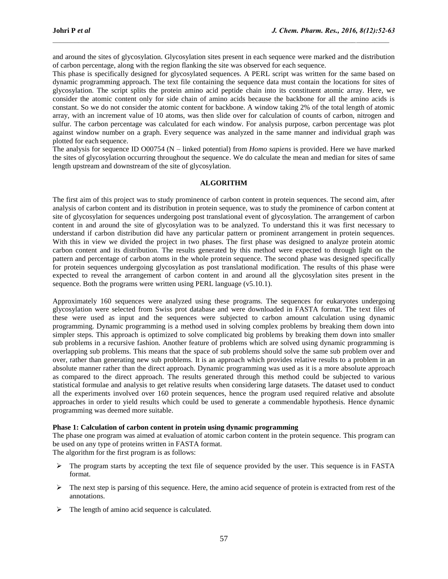and around the sites of glycosylation. Glycosylation sites present in each sequence were marked and the distribution of carbon percentage, along with the region flanking the site was observed for each sequence.

 $\mathcal{L}_\mathcal{L} = \mathcal{L}_\mathcal{L}$ 

This phase is specifically designed for glycosylated sequences. A PERL script was written for the same based on dynamic programming approach. The text file containing the sequence data must contain the locations for sites of glycosylation. The script splits the protein amino acid peptide chain into its constituent atomic array. Here, we consider the atomic content only for side chain of amino acids because the backbone for all the amino acids is constant. So we do not consider the atomic content for backbone. A window taking 2% of the total length of atomic array, with an increment value of 10 atoms, was then slide over for calculation of counts of carbon, nitrogen and sulfur. The carbon percentage was calculated for each window. For analysis purpose, carbon percentage was plot against window number on a graph. Every sequence was analyzed in the same manner and individual graph was plotted for each sequence.

The analysis for sequence ID O00754 (N – linked potential) from *Homo sapiens* is provided. Here we have marked the sites of glycosylation occurring throughout the sequence. We do calculate the mean and median for sites of same length upstream and downstream of the site of glycosylation.

## **ALGORITHM**

The first aim of this project was to study prominence of carbon content in protein sequences. The second aim, after analysis of carbon content and its distribution in protein sequence, was to study the prominence of carbon content at site of glycosylation for sequences undergoing post translational event of glycosylation. The arrangement of carbon content in and around the site of glycosylation was to be analyzed. To understand this it was first necessary to understand if carbon distribution did have any particular pattern or prominent arrangement in protein sequences. With this in view we divided the project in two phases. The first phase was designed to analyze protein atomic carbon content and its distribution. The results generated by this method were expected to through light on the pattern and percentage of carbon atoms in the whole protein sequence. The second phase was designed specifically for protein sequences undergoing glycosylation as post translational modification. The results of this phase were expected to reveal the arrangement of carbon content in and around all the glycosylation sites present in the sequence. Both the programs were written using PERL language (v5.10.1).

Approximately 160 sequences were analyzed using these programs. The sequences for eukaryotes undergoing glycosylation were selected from Swiss prot database and were downloaded in FASTA format. The text files of these were used as input and the sequences were subjected to carbon amount calculation using dynamic programming. Dynamic programming is a method used in solving complex problems by breaking them down into simpler steps. This approach is optimized to solve complicated big problems by breaking them down into smaller sub problems in a recursive fashion. Another feature of problems which are solved using dynamic programming is overlapping sub problems. This means that the space of sub problems should solve the same sub problem over and over, rather than generating new sub problems. It is an approach which provides relative results to a problem in an absolute manner rather than the direct approach. Dynamic programming was used as it is a more absolute approach as compared to the direct approach. The results generated through this method could be subjected to various statistical formulae and analysis to get relative results when considering large datasets. The dataset used to conduct all the experiments involved over 160 protein sequences, hence the program used required relative and absolute approaches in order to yield results which could be used to generate a commendable hypothesis. Hence dynamic programming was deemed more suitable.

## **Phase 1: Calculation of carbon content in protein using dynamic programming**

The phase one program was aimed at evaluation of atomic carbon content in the protein sequence. This program can be used on any type of proteins written in FASTA format.

The algorithm for the first program is as follows:

- $\triangleright$  The program starts by accepting the text file of sequence provided by the user. This sequence is in FASTA format.
- $\triangleright$  The next step is parsing of this sequence. Here, the amino acid sequence of protein is extracted from rest of the annotations.
- $\triangleright$  The length of amino acid sequence is calculated.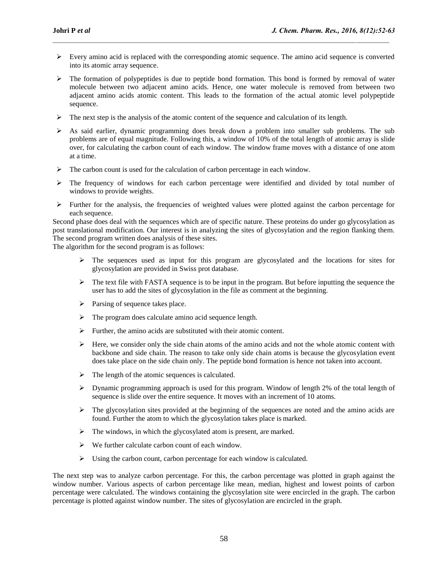$\triangleright$  Every amino acid is replaced with the corresponding atomic sequence. The amino acid sequence is converted into its atomic array sequence.

 $\mathcal{L}_\mathcal{L} = \mathcal{L}_\mathcal{L}$ 

- $\triangleright$  The formation of polypeptides is due to peptide bond formation. This bond is formed by removal of water molecule between two adjacent amino acids. Hence, one water molecule is removed from between two adjacent amino acids atomic content. This leads to the formation of the actual atomic level polypeptide sequence.
- $\triangleright$  The next step is the analysis of the atomic content of the sequence and calculation of its length.
- $\triangleright$  As said earlier, dynamic programming does break down a problem into smaller sub problems. The sub problems are of equal magnitude. Following this, a window of 10% of the total length of atomic array is slide over, for calculating the carbon count of each window. The window frame moves with a distance of one atom at a time.
- $\triangleright$  The carbon count is used for the calculation of carbon percentage in each window.
- $\triangleright$  The frequency of windows for each carbon percentage were identified and divided by total number of windows to provide weights.
- $\triangleright$  Further for the analysis, the frequencies of weighted values were plotted against the carbon percentage for each sequence.

Second phase does deal with the sequences which are of specific nature. These proteins do under go glycosylation as post translational modification. Our interest is in analyzing the sites of glycosylation and the region flanking them. The second program written does analysis of these sites.

The algorithm for the second program is as follows:

- $\triangleright$  The sequences used as input for this program are glycosylated and the locations for sites for glycosylation are provided in Swiss prot database.
- $\triangleright$  The text file with FASTA sequence is to be input in the program. But before inputting the sequence the user has to add the sites of glycosylation in the file as comment at the beginning.
- $\triangleright$  Parsing of sequence takes place.
- $\triangleright$  The program does calculate amino acid sequence length.
- $\triangleright$  Further, the amino acids are substituted with their atomic content.
- $\triangleright$  Here, we consider only the side chain atoms of the amino acids and not the whole atomic content with backbone and side chain. The reason to take only side chain atoms is because the glycosylation event does take place on the side chain only. The peptide bond formation is hence not taken into account.
- $\triangleright$  The length of the atomic sequences is calculated.
- $\triangleright$  Dynamic programming approach is used for this program. Window of length 2% of the total length of sequence is slide over the entire sequence. It moves with an increment of 10 atoms.
- $\triangleright$  The glycosylation sites provided at the beginning of the sequences are noted and the amino acids are found. Further the atom to which the glycosylation takes place is marked.
- $\triangleright$  The windows, in which the glycosylated atom is present, are marked.
- $\triangleright$  We further calculate carbon count of each window.
- $\triangleright$  Using the carbon count, carbon percentage for each window is calculated.

The next step was to analyze carbon percentage. For this, the carbon percentage was plotted in graph against the window number. Various aspects of carbon percentage like mean, median, highest and lowest points of carbon percentage were calculated. The windows containing the glycosylation site were encircled in the graph. The carbon percentage is plotted against window number. The sites of glycosylation are encircled in the graph.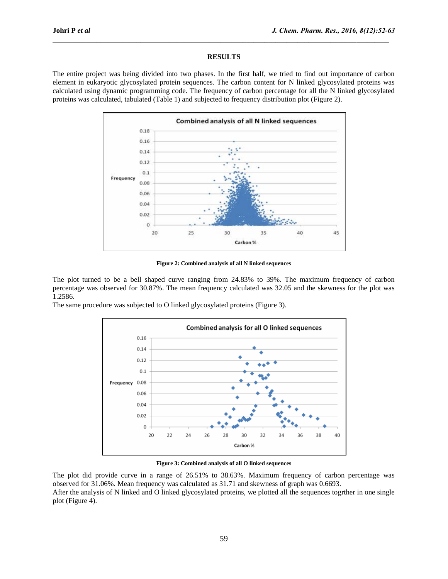# **RESULTS**

 $\mathcal{L}_\mathcal{L} = \mathcal{L}_\mathcal{L}$ 

The entire project was being divided into two phases. In the first half, we tried to find out importance of carbon element in eukaryotic glycosylated protein sequences. The carbon content for N linked glycosylated proteins was calculated using dynamic programming code. The frequency of carbon percentage for all the N linked glycosylated proteins was calculated, tabulated (Table 1) and subjected to frequency distribution plot (Figure 2).



**Figure 2: Combined analysis of all N linked sequences**

The plot turned to be a bell shaped curve ranging from 24.83% to 39%. The maximum frequency of carbon percentage was observed for 30.87%. The mean frequency calculated was 32.05 and the skewness for the plot was 1.2586.

The same procedure was subjected to O linked glycosylated proteins (Figure 3).



**Figure 3: Combined analysis of all O linked sequences**

The plot did provide curve in a range of 26.51% to 38.63%. Maximum frequency of carbon percentage was observed for 31.06%. Mean frequency was calculated as 31.71 and skewness of graph was 0.6693. After the analysis of N linked and O linked glycosylated proteins, we plotted all the sequences togrther in one single plot (Figure 4).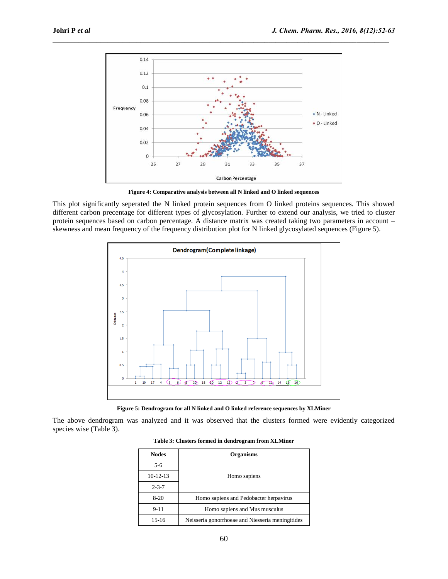

 $\mathcal{L}_\mathcal{L} = \mathcal{L}_\mathcal{L}$ 

**Figure 4: Comparative analysis between all N linked and O linked sequences**

This plot significantly seperated the N linked protein sequences from O linked proteins sequences. This showed different carbon precentage for different types of glycosylation. Further to extend our analysis, we tried to cluster protein sequences based on carbon percentage. A distance matrix was created taking two parameters in account – skewness and mean frequency of the frequency distribution plot for N linked glycosylated sequences (Figure 5).



**Figure 5: Dendrogram for all N linked and O linked reference sequences by XLMiner**

The above dendrogram was analyzed and it was observed that the clusters formed were evidently categorized species wise (Table 3).

| Table 3: Clusters formed in dendrogram from XLMiner |  |  |  |
|-----------------------------------------------------|--|--|--|
|-----------------------------------------------------|--|--|--|

| <b>Nodes</b> | <b>Organisms</b>                                 |
|--------------|--------------------------------------------------|
| $5-6$        |                                                  |
| 10-12-13     | Homo sapiens                                     |
| $2 - 3 - 7$  |                                                  |
| $8-20$       | Homo sapiens and Pedobacter herpavirus           |
| $9 - 11$     | Homo sapiens and Mus musculus                    |
| $15-16$      | Neisseria gonorrhoeae and Niesseria meningitides |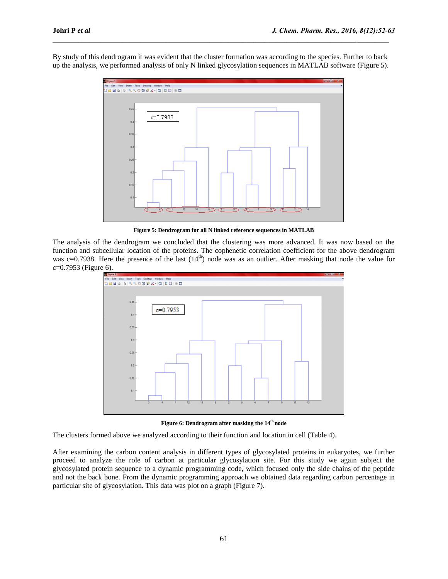By study of this dendrogram it was evident that the cluster formation was according to the species. Further to back up the analysis, we performed analysis of only N linked glycosylation sequences in MATLAB software (Figure 5).

 $\mathcal{L}_\mathcal{L} = \mathcal{L}_\mathcal{L}$ 



**Figure 5: Dendrogram for all N linked reference sequences in MATLAB**

The analysis of the dendrogram we concluded that the clustering was more advanced. It was now based on the function and subcellular location of the proteins. The cophenetic correlation coefficient for the above dendrogram was c=0.7938. Here the presence of the last (14<sup>th</sup>) node was as an outlier. After masking that node the value for c=0.7953 (Figure 6).



**Figure 6: Dendrogram after masking the 14th node**

The clusters formed above we analyzed according to their function and location in cell (Table 4).

After examining the carbon content analysis in different types of glycosylated proteins in eukaryotes, we further proceed to analyze the role of carbon at particular glycosylation site. For this study we again subject the glycosylated protein sequence to a dynamic programming code, which focused only the side chains of the peptide and not the back bone. From the dynamic programming approach we obtained data regarding carbon percentage in particular site of glycosylation. This data was plot on a graph (Figure 7).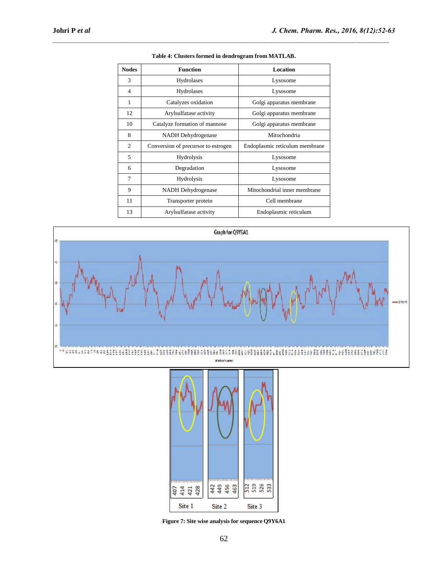| <b>Nodes</b>   | <b>Function</b>                     | Location                       |
|----------------|-------------------------------------|--------------------------------|
| 3              | Hydrolases                          | Lysosome                       |
| $\overline{4}$ | Hydrolases                          | Lysosome                       |
| 1              | Catalyzes oxidation                 | Golgi apparatus membrane       |
| 12             | Arylsulfatase activity              | Golgi apparatus membrane       |
| 10             | Catalyze formation of mannose       | Golgi apparatus membrane       |
| 8              | NADH Dehydrogenase                  | Mitochondria                   |
| $\overline{c}$ | Conversion of precursor to estrogen | Endoplasmic reticulum membrane |
| 5              | Hydrolysis                          | Lysosome                       |
| 6              | Degradation                         | Lysosome                       |
| 7              | Hydrolysis                          | Lysosome                       |
| 9              | NADH Dehydrogenase                  | Mitochondrial inner membrane   |
| 11             | Transporter protein                 | Cell membrane                  |
| 13             | Arylsulfatase activity              | Endoplasmic reticulum          |



 $\mathcal{L}_\mathcal{L} = \mathcal{L}_\mathcal{L}$ 





**Figure 7: Site wise analysis for sequence Q9Y6A1**